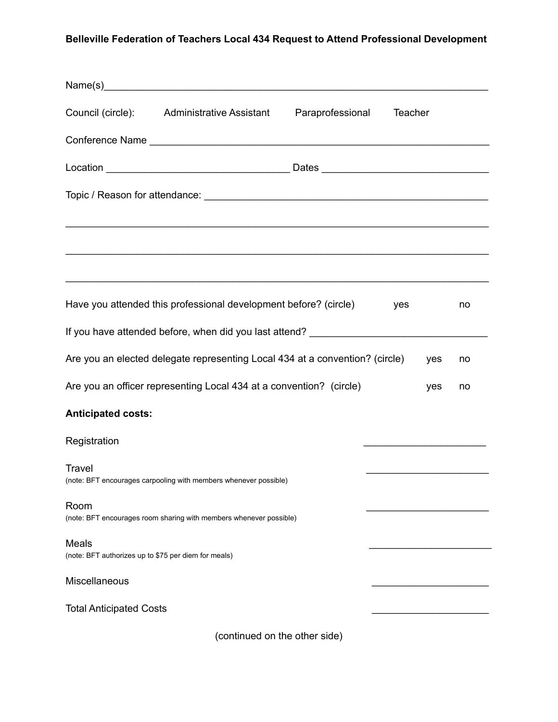## **Belleville Federation of Teachers Local 434 Request to Attend Professional Development**

|                                                                      | Council (circle): Administrative Assistant                                   | Paraprofessional | Teacher |    |
|----------------------------------------------------------------------|------------------------------------------------------------------------------|------------------|---------|----|
|                                                                      |                                                                              |                  |         |    |
|                                                                      |                                                                              |                  |         |    |
|                                                                      |                                                                              |                  |         |    |
|                                                                      |                                                                              |                  |         |    |
|                                                                      | Have you attended this professional development before? (circle)             |                  | yes     | no |
|                                                                      |                                                                              |                  |         |    |
|                                                                      | Are you an elected delegate representing Local 434 at a convention? (circle) |                  | yes     | no |
|                                                                      | Are you an officer representing Local 434 at a convention? (circle)          |                  | yes     | no |
| <b>Anticipated costs:</b>                                            |                                                                              |                  |         |    |
| Registration                                                         |                                                                              |                  |         |    |
| <b>Travel</b>                                                        | (note: BFT encourages carpooling with members whenever possible)             |                  |         |    |
| Room                                                                 | (note: BFT encourages room sharing with members whenever possible)           |                  |         |    |
| <b>Meals</b><br>(note: BFT authorizes up to \$75 per diem for meals) |                                                                              |                  |         |    |
| Miscellaneous                                                        |                                                                              |                  |         |    |
| <b>Total Anticipated Costs</b>                                       |                                                                              |                  |         |    |
|                                                                      | (continued on the other side)                                                |                  |         |    |